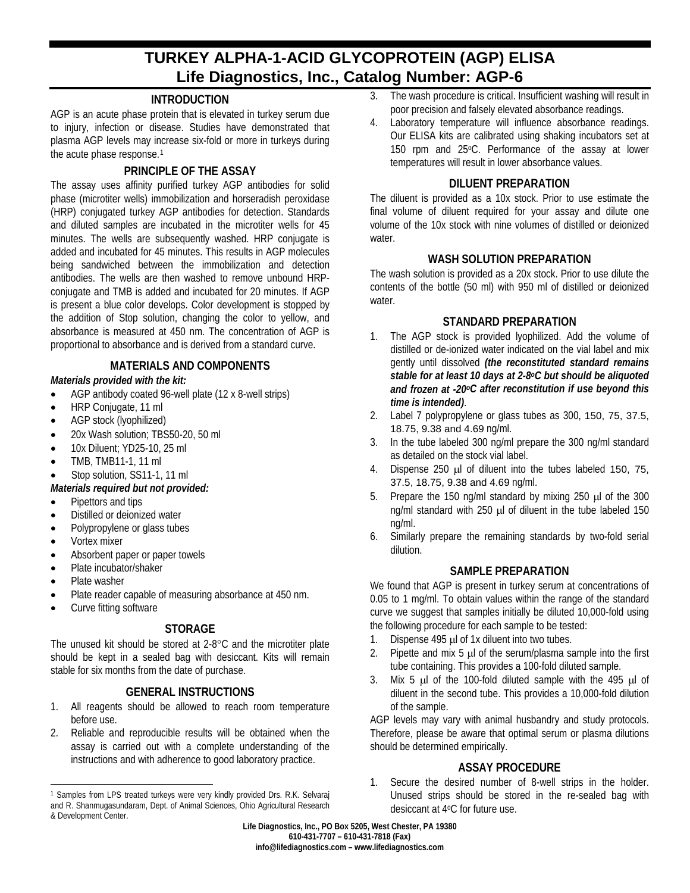# **TURKEY ALPHA-1-ACID GLYCOPROTEIN (AGP) ELISA Life Diagnostics, Inc., Catalog Number: AGP-6**

# **INTRODUCTION**

AGP is an acute phase protein that is elevated in turkey serum due to injury, infection or disease. Studies have demonstrated that plasma AGP levels may increase six-fold or more in turkeys during the acute phase response.<sup>[1](#page-0-0)</sup>

## **PRINCIPLE OF THE ASSAY**

The assay uses affinity purified turkey AGP antibodies for solid phase (microtiter wells) immobilization and horseradish peroxidase (HRP) conjugated turkey AGP antibodies for detection. Standards and diluted samples are incubated in the microtiter wells for 45 minutes. The wells are subsequently washed. HRP conjugate is added and incubated for 45 minutes. This results in AGP molecules being sandwiched between the immobilization and detection antibodies. The wells are then washed to remove unbound HRPconjugate and TMB is added and incubated for 20 minutes. If AGP is present a blue color develops. Color development is stopped by the addition of Stop solution, changing the color to yellow, and absorbance is measured at 450 nm. The concentration of AGP is proportional to absorbance and is derived from a standard curve.

# **MATERIALS AND COMPONENTS**

## *Materials provided with the kit:*

- AGP antibody coated 96-well plate (12 x 8-well strips)
- HRP Conjugate, 11 ml
- AGP stock (lyophilized)
- 20x Wash solution; TBS50-20, 50 ml
- 10x Diluent; YD25-10, 25 ml
- TMB, TMB11-1, 11 ml
- Stop solution, SS11-1, 11 ml

## *Materials required but not provided:*

- Pipettors and tips
- Distilled or deionized water
- Polypropylene or glass tubes
- Vortex mixer
- Absorbent paper or paper towels
- Plate incubator/shaker
- Plate washer

 $\overline{a}$ 

- Plate reader capable of measuring absorbance at 450 nm.
- Curve fitting software

# **STORAGE**

The unused kit should be stored at 2-8°C and the microtiter plate should be kept in a sealed bag with desiccant. Kits will remain stable for six months from the date of purchase.

# **GENERAL INSTRUCTIONS**

- 1. All reagents should be allowed to reach room temperature before use.
- 2. Reliable and reproducible results will be obtained when the assay is carried out with a complete understanding of the instructions and with adherence to good laboratory practice.
- 3. The wash procedure is critical. Insufficient washing will result in poor precision and falsely elevated absorbance readings.
- 4. Laboratory temperature will influence absorbance readings. Our ELISA kits are calibrated using shaking incubators set at 150 rpm and 25°C. Performance of the assay at lower temperatures will result in lower absorbance values.

## **DILUENT PREPARATION**

The diluent is provided as a 10x stock. Prior to use estimate the final volume of diluent required for your assay and dilute one volume of the 10x stock with nine volumes of distilled or deionized water.

## **WASH SOLUTION PREPARATION**

The wash solution is provided as a 20x stock. Prior to use dilute the contents of the bottle (50 ml) with 950 ml of distilled or deionized water.

## **STANDARD PREPARATION**

- 1. The AGP stock is provided lyophilized. Add the volume of distilled or de-ionized water indicated on the vial label and mix gently until dissolved *(the reconstituted standard remains stable for at least 10 days at 2-8oC but should be aliquoted and frozen at -20oC after reconstitution if use beyond this time is intended)*.
- 2. Label 7 polypropylene or glass tubes as 300, 150, 75, 37.5, 18.75, 9.38 and 4.69 ng/ml.
- 3. In the tube labeled 300 ng/ml prepare the 300 ng/ml standard as detailed on the stock vial label.
- 4. Dispense 250 µl of diluent into the tubes labeled 150, 75, 37.5, 18.75, 9.38 and 4.69 ng/ml.
- 5. Prepare the 150 ng/ml standard by mixing 250 µl of the 300 ng/ml standard with 250 µl of diluent in the tube labeled 150 ng/ml.
- 6. Similarly prepare the remaining standards by two-fold serial dilution.

## **SAMPLE PREPARATION**

We found that AGP is present in turkey serum at concentrations of 0.05 to 1 mg/ml. To obtain values within the range of the standard curve we suggest that samples initially be diluted 10,000-fold using the following procedure for each sample to be tested:

- 1. Dispense 495 µl of 1x diluent into two tubes.
- 2. Pipette and mix 5 µ of the serum/plasma sample into the first tube containing. This provides a 100-fold diluted sample.
- 3. Mix 5  $\mu$  of the 100-fold diluted sample with the 495  $\mu$  of diluent in the second tube. This provides a 10,000-fold dilution of the sample.

AGP levels may vary with animal husbandry and study protocols. Therefore, please be aware that optimal serum or plasma dilutions should be determined empirically.

## **ASSAY PROCEDURE**

1. Secure the desired number of 8-well strips in the holder. Unused strips should be stored in the re-sealed bag with desiccant at 4oC for future use.

**Life Diagnostics, Inc., PO Box 5205, West Chester, PA 19380 610-431-7707 – 610-431-7818 (Fax) info@lifediagnostics.com – www.lifediagnostics.com**

<span id="page-0-0"></span><sup>1</sup> Samples from LPS treated turkeys were very kindly provided Drs. R.K. Selvaraj and R. Shanmugasundaram, Dept. of Animal Sciences, Ohio Agricultural Research & Development Center.